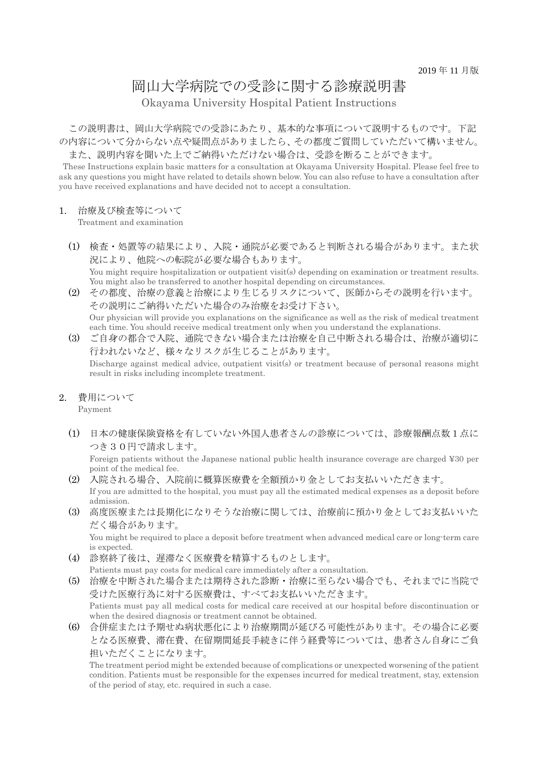# 岡山大学病院での受診に関する診療説明書

Okayama University Hospital Patient Instructions

 この説明書は、岡山大学病院での受診にあたり、基本的な事項について説明するものです。下記 の内容について分からない点や疑問点がありましたら、その都度ご質問していただいて構いません。 また、説明内容を聞いた上でご納得いただけない場合は、受診を断ることができます。

These Instructions explain basic matters for a consultation at Okayama University Hospital. Please feel free to ask any questions you might have related to details shown below. You can also refuse to have a consultation after you have received explanations and have decided not to accept a consultation.

#### 1. 治療及び検査等について

Treatment and examination

- (1) 検査・処置等の結果により、入院・通院が必要であると判断される場合があります。また状 況により、他院への転院が必要な場合もあります。 You might require hospitalization or outpatient visit(s) depending on examination or treatment results. You might also be transferred to another hospital depending on circumstances.
- (2) その都度、治療の意義と治療により生じるリスクについて、医師からその説明を行います。 その説明にご納得いただいた場合のみ治療をお受け下さい。 Our physician will provide you explanations on the significance as well as the risk of medical treatment each time. You should receive medical treatment only when you understand the explanations.
- (3) ご自身の都合で入院、通院できない場合または治療を自己中断される場合は、治療が適切に 行われないなど、様々なリスクが生じることがあります。 Discharge against medical advice, outpatient visit(s) or treatment because of personal reasons might result in risks including incomplete treatment.
- 2. 費用について

Payment

(1) 日本の健康保険資格を有していない外国人患者さんの診療については、診療報酬点数1点に つき30円で請求します。

Foreign patients without the Japanese national public health insurance coverage are charged ¥30 per point of the medical fee.

- (2) 入院される場合、入院前に概算医療費を全額預かり金としてお支払いいただきます。 If you are admitted to the hospital, you must pay all the estimated medical expenses as a deposit before admission.
- (3) 高度医療または長期化になりそうな治療に関しては、治療前に預かり金としてお支払いいた だく場合があります。

You might be required to place a deposit before treatment when advanced medical care or long-term care is expected.

- (4) 診察終了後は、遅滞なく医療費を精算するものとします。 Patients must pay costs for medical care immediately after a consultation.
- (5) 治療を中断された場合または期待された診断・治療に至らない場合でも、それまでに当院で 受けた医療行為に対する医療費は、すべてお支払いいただきます。 Patients must pay all medical costs for medical care received at our hospital before discontinuation or when the desired diagnosis or treatment cannot be obtained.
- (6) 合併症または予期せぬ病状悪化により治療期間が延びる可能性があります。その場合に必要 となる医療費、滞在費、在留期間延長手続きに伴う経費等については、患者さん自身にご負 担いただくことになります。

The treatment period might be extended because of complications or unexpected worsening of the patient condition. Patients must be responsible for the expenses incurred for medical treatment, stay, extension of the period of stay, etc. required in such a case.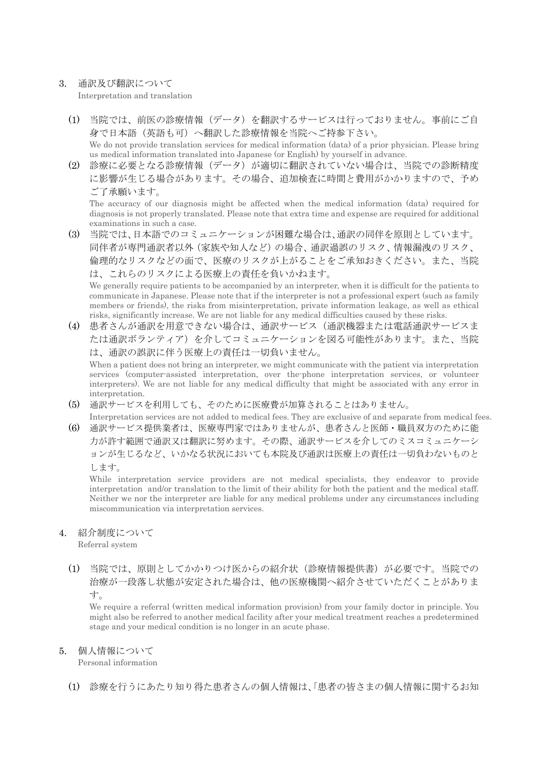#### 3. 通訳及び翻訳について Interpretation and translation

- (1) 当院では、前医の診療情報(データ)を翻訳するサービスは行っておりません。事前にご自 身で日本語(英語も可)へ翻訳した診療情報を当院へご持参下さい。 We do not provide translation services for medical information (data) of a prior physician. Please bring us medical information translated into Japanese (or English) by yourself in advance.
- (2) 診療に必要となる診療情報(データ)が適切に翻訳されていない場合は、当院での診断精度 に影響が生じる場合があります。その場合、追加検査に時間と費用がかかりますので、予め ご了承願います。

The accuracy of our diagnosis might be affected when the medical information (data) required for diagnosis is not properly translated. Please note that extra time and expense are required for additional examinations in such a case.

(3) 当院では、日本語でのコミュニケーションが困難な場合は、通訳の同伴を原則としています。 同伴者が専門通訳者以外(家族や知人など)の場合、通訳過誤のリスク、情報漏洩のリスク、 倫理的なリスクなどの面で、医療のリスクが上がることをご承知おきください。また、当院 は、これらのリスクによる医療上の責任を負いかねます。

We generally require patients to be accompanied by an interpreter, when it is difficult for the patients to communicate in Japanese. Please note that if the interpreter is not a professional expert (such as family members or friends), the risks from misinterpretation, private information leakage, as well as ethical risks, significantly increase. We are not liable for any medical difficulties caused by these risks.

(4) 患者さんが通訳を用意できない場合は、通訳サービス(通訳機器または電話通訳サービスま たは通訳ボランティア)を介してコミュニケーションを図る可能性があります。また、当院 は、通訳の誤訳に伴う医療上の責任は一切負いません。

When a patient does not bring an interpreter, we might communicate with the patient via interpretation services (computer-assisted interpretation, over the-phone interpretation services, or volunteer interpreters). We are not liable for any medical difficulty that might be associated with any error in interpretation.

- (5) 通訳サービスを利用しても、そのために医療費が加算されることはありません。 Interpretation services are not added to medical fees. They are exclusive of and separate from medical fees.
- (6) 通訳サービス提供業者は、医療専門家ではありませんが、患者さんと医師・職員双方のために能 力が許す範囲で通訳又は翻訳に努めます。その際、通訳サービスを介してのミスコミュニケーシ ョンが生じるなど、いかなる状況においても本院及び通訳は医療上の責任は一切負わないものと します。

While interpretation service providers are not medical specialists, they endeavor to provide interpretation and/or translation to the limit of their ability for both the patient and the medical staff. Neither we nor the interpreter are liable for any medical problems under any circumstances including miscommunication via interpretation services.

### 4. 紹介制度について

Referral system

(1) 当院では、原則としてかかりつけ医からの紹介状(診療情報提供書)が必要です。当院での 治療が一段落し状態が安定された場合は、他の医療機関へ紹介させていただくことがありま す。

We require a referral (written medical information provision) from your family doctor in principle. You might also be referred to another medical facility after your medical treatment reaches a predetermined stage and your medical condition is no longer in an acute phase.

### 5. 個人情報について

Personal information

(1) 診療を行うにあたり知り得た患者さんの個人情報は、「患者の皆さまの個人情報に関するお知